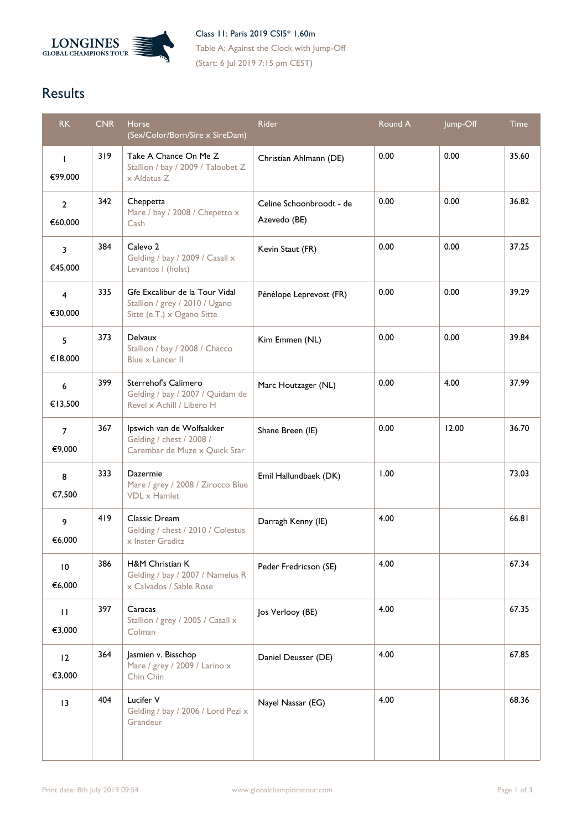

Class 11: Paris 2019 CSI5\* 1.60m Table A: Against the Clock with Jump-Off (Start: 6 Jul 2019 7:15 pm CEST)

## **Results**

| <b>RK</b>                 | <b>CNR</b> | <b>Horse</b><br>(Sex/Color/Born/Sire x SireDam)                                                | Rider                                    | Round A | Jump-Off | <b>Time</b> |
|---------------------------|------------|------------------------------------------------------------------------------------------------|------------------------------------------|---------|----------|-------------|
| $\mathbf{I}$<br>€99,000   | 319        | Take A Chance On Me Z<br>Stallion / bay / 2009 / Taloubet Z<br>x Aldatus Z                     | Christian Ahlmann (DE)                   | 0.00    | 0.00     | 35.60       |
| $\overline{2}$<br>€60,000 | 342        | Cheppetta<br>Mare / bay / 2008 / Chepetto x<br>Cash                                            | Celine Schoonbroodt - de<br>Azevedo (BE) | 0.00    | 0.00     | 36.82       |
| 3<br>€45,000              | 384        | Calevo <sub>2</sub><br>Gelding / bay / 2009 / Casall x<br>Levantos I (holst)                   | Kevin Staut (FR)                         | 0.00    | 0.00     | 37.25       |
| $\overline{4}$<br>€30,000 | 335        | Gfe Excalibur de la Tour Vidal<br>Stallion / grey / 2010 / Ugano<br>Sitte (e.T.) x Ogano Sitte | Pénélope Leprevost (FR)                  | 0.00    | 0.00     | 39.29       |
| 5<br>€18,000              | 373        | Delvaux<br>Stallion / bay / 2008 / Chacco<br>Blue x Lancer II                                  | Kim Emmen (NL)                           | 0.00    | 0.00     | 39.84       |
| 6<br>€13,500              | 399        | Sterrehof's Calimero<br>Gelding / bay / 2007 / Quidam de<br>Revel x Achill / Libero H          | Marc Houtzager (NL)                      | 0.00    | 4.00     | 37.99       |
| $\overline{7}$<br>€9,000  | 367        | Ipswich van de Wolfsakker<br>Gelding / chest / 2008 /<br>Carembar de Muze x Quick Star         | Shane Breen (IE)                         | 0.00    | 12.00    | 36.70       |
| 8<br>€7,500               | 333        | Dazermie<br>Mare / grey / 2008 / Zirocco Blue<br><b>VDL</b> x Hamlet                           | Emil Hallundbaek (DK)                    | 1.00    |          | 73.03       |
| 9<br>€6,000               | 419        | Classic Dream<br>Gelding / chest / 2010 / Colestus<br>x Inster Graditz                         | Darragh Kenny (IE)                       | 4.00    |          | 66.81       |
| $\overline{10}$<br>€6,000 | 386        | H&M Christian K<br>Gelding / bay / 2007 / Namelus R<br>x Calvados / Sable Rose                 | Peder Fredricson (SE)                    | 4.00    |          | 67.34       |
| $\mathbf{H}$<br>€3,000    | 397        | Caracas<br>Stallion / grey / 2005 / Casall x<br>Colman                                         | Jos Verlooy (BE)                         | 4.00    |          | 67.35       |
| 12<br>€3,000              | 364        | Jasmien v. Bisschop<br>Mare / grey / 2009 / Larino x<br>Chin Chin                              | Daniel Deusser (DE)                      | 4.00    |          | 67.85       |
| $\overline{13}$           | 404        | Lucifer V<br>Gelding / bay / 2006 / Lord Pezi x<br>Grandeur                                    | Nayel Nassar (EG)                        | 4.00    |          | 68.36       |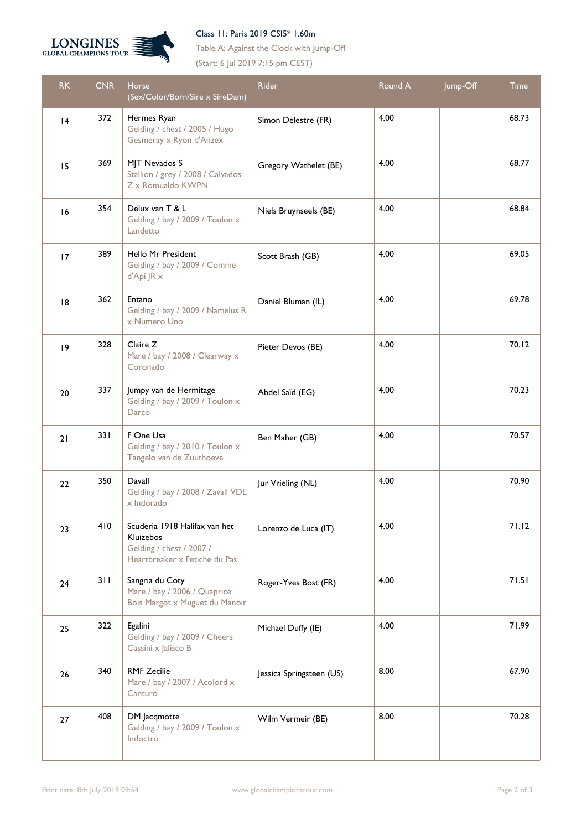



Table A: Against the Clock with Jump-Off (Start: 6 Jul 2019 7:15 pm CEST)

| <b>RK</b>   | <b>CNR</b> | Horse<br>(Sex/Color/Born/Sire x SireDam)                                                                | <b>Rider</b>             | Round A | Jump-Off | <b>Time</b> |
|-------------|------------|---------------------------------------------------------------------------------------------------------|--------------------------|---------|----------|-------------|
| 4           | 372        | Hermes Ryan<br>Gelding / chest / 2005 / Hugo<br>Gesmeray x Ryon d'Anzex                                 | Simon Delestre (FR)      | 4.00    |          | 68.73       |
| 15          | 369        | MJT Nevados S<br>Stallion / grey / 2008 / Calvados<br>Z x Romualdo KWPN                                 | Gregory Wathelet (BE)    | 4.00    |          | 68.77       |
| 16          | 354        | Delux van T & L<br>Gelding / bay / 2009 / Toulon x<br>Landetto                                          | Niels Bruynseels (BE)    | 4.00    |          | 68.84       |
| 17          | 389        | Hello Mr President<br>Gelding / bay / 2009 / Comme<br>d'Api JR x                                        | Scott Brash (GB)         | 4.00    |          | 69.05       |
| 8           | 362        | Entano<br>Gelding / bay / 2009 / Namelus R<br>x Numero Uno                                              | Daniel Bluman (IL)       | 4.00    |          | 69.78       |
| $ 9\rangle$ | 328        | Claire Z<br>Mare / bay / 2008 / Clearway x<br>Coronado                                                  | Pieter Devos (BE)        | 4.00    |          | 70.12       |
| 20          | 337        | Jumpy van de Hermitage<br>Gelding / bay / 2009 / Toulon x<br>Darco                                      | Abdel Saïd (EG)          | 4.00    |          | 70.23       |
| 21          | 33 I       | F One Usa<br>Gelding / bay / 2010 / Toulon x<br>Tangelo van de Zuuthoeve                                | Ben Maher (GB)           | 4.00    |          | 70.57       |
| 22          | 350        | Davall<br>Gelding / bay / 2008 / Zavall VDL<br>x Indorado                                               | Jur Vrieling (NL)        | 4.00    |          | 70.90       |
| 23          | 410        | Scuderia 1918 Halifax van het<br>Kluizebos<br>Gelding / chest / 2007 /<br>Heartbreaker x Fetiche du Pas | Lorenzo de Luca (IT)     | 4.00    |          | 71.12       |
| 24          | 311        | Sangria du Coty<br>Mare / bay / 2006 / Quaprice<br>Bois Margot x Muguet du Manoir                       | Roger-Yves Bost (FR)     | 4.00    |          | 71.51       |
| 25          | 322        | Egalini<br>Gelding / bay / 2009 / Cheers<br>Cassini x Jalisco B                                         | Michael Duffy (IE)       | 4.00    |          | 71.99       |
| 26          | 340        | <b>RMF Zecilie</b><br>Mare / bay / 2007 / Acolord x<br>Canturo                                          | Jessica Springsteen (US) | 8.00    |          | 67.90       |
| 27          | 408        | DM Jacqmotte<br>Gelding / bay / 2009 / Toulon x<br>Indoctro                                             | Wilm Vermeir (BE)        | 8.00    |          | 70.28       |